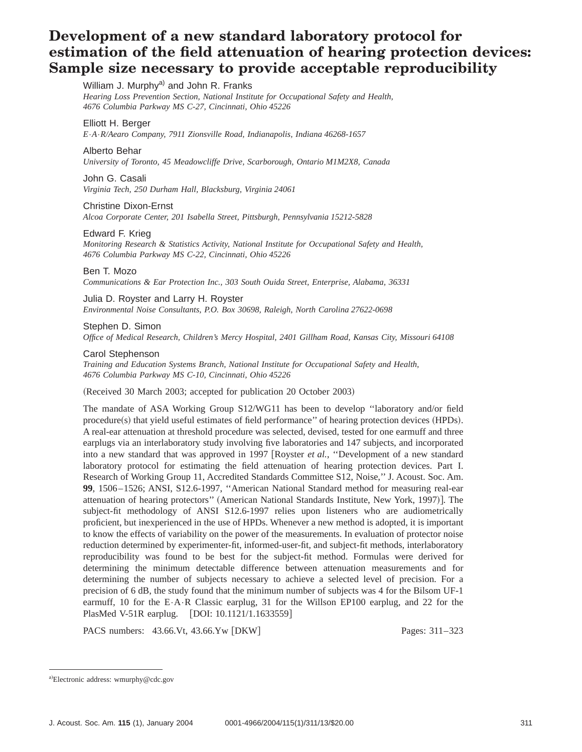# **Development of a new standard laboratory protocol for estimation of the field attenuation of hearing protection devices: Sample size necessary to provide acceptable reproducibility**

William J. Murphy<sup>a)</sup> and John R. Franks

*Hearing Loss Prevention Section, National Institute for Occupational Safety and Health, 4676 Columbia Parkway MS C-27, Cincinnati, Ohio 45226*

# Elliott H. Berger

*E*•*A*•*R/Aearo Company, 7911 Zionsville Road, Indianapolis, Indiana 46268-1657*

#### Alberto Behar

*University of Toronto, 45 Meadowcliffe Drive, Scarborough, Ontario M1M2X8, Canada*

## John G. Casali

*Virginia Tech, 250 Durham Hall, Blacksburg, Virginia 24061*

#### Christine Dixon-Ernst

*Alcoa Corporate Center, 201 Isabella Street, Pittsburgh, Pennsylvania 15212-5828*

# Edward F. Krieg

*Monitoring Research & Statistics Activity, National Institute for Occupational Safety and Health, 4676 Columbia Parkway MS C-22, Cincinnati, Ohio 45226*

# Ben T. Mozo

*Communications & Ear Protection Inc., 303 South Ouida Street, Enterprise, Alabama, 36331*

Julia D. Royster and Larry H. Royster *Environmental Noise Consultants, P.O. Box 30698, Raleigh, North Carolina 27622-0698*

Stephen D. Simon *Office of Medical Research, Children's Mercy Hospital, 2401 Gillham Road, Kansas City, Missouri 64108*

#### Carol Stephenson

*Training and Education Systems Branch, National Institute for Occupational Safety and Health, 4676 Columbia Parkway MS C-10, Cincinnati, Ohio 45226*

(Received 30 March 2003; accepted for publication 20 October 2003)

The mandate of ASA Working Group S12/WG11 has been to develop ''laboratory and/or field  $procedure(s)$  that yield useful estimates of field performance'' of hearing protection devices  $(HPDs)$ . A real-ear attenuation at threshold procedure was selected, devised, tested for one earmuff and three earplugs via an interlaboratory study involving five laboratories and 147 subjects, and incorporated into a new standard that was approved in 1997 [Royster *et al.*, "Development of a new standard laboratory protocol for estimating the field attenuation of hearing protection devices. Part I. Research of Working Group 11, Accredited Standards Committee S12, Noise,'' J. Acoust. Soc. Am. **99**, 1506–1526; ANSI, S12.6-1997, ''American National Standard method for measuring real-ear attenuation of hearing protectors" (American National Standards Institute, New York, 1997). The subject-fit methodology of ANSI S12.6-1997 relies upon listeners who are audiometrically proficient, but inexperienced in the use of HPDs. Whenever a new method is adopted, it is important to know the effects of variability on the power of the measurements. In evaluation of protector noise reduction determined by experimenter-fit, informed-user-fit, and subject-fit methods, interlaboratory reproducibility was found to be best for the subject-fit method. Formulas were derived for determining the minimum detectable difference between attenuation measurements and for determining the number of subjects necessary to achieve a selected level of precision. For a precision of 6 dB, the study found that the minimum number of subjects was 4 for the Bilsom UF-1 earmuff, 10 for the E•A•R Classic earplug, 31 for the Willson EP100 earplug, and 22 for the PlasMed V-51R earplug. [DOI: 10.1121/1.1633559]

PACS numbers: 43.66.Vt, 43.66.Yw [DKW] Pages: 311–323

a)Electronic address: wmurphy@cdc.gov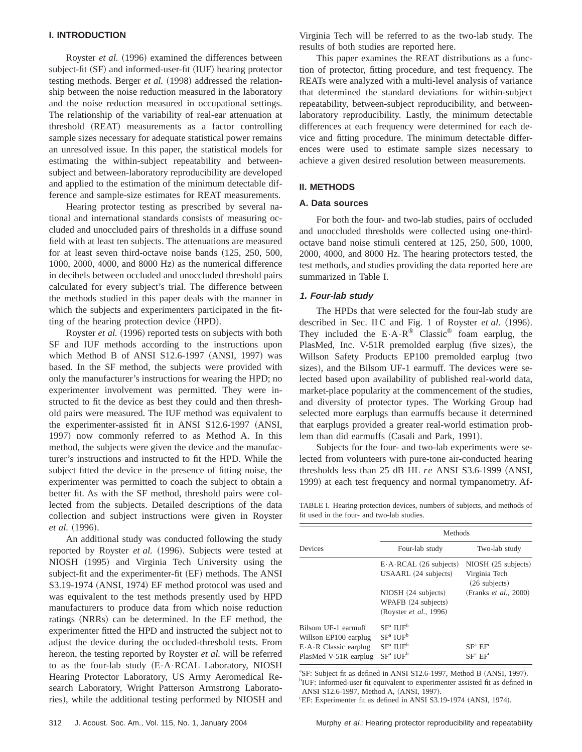#### **I. INTRODUCTION**

Royster *et al.* (1996) examined the differences between subject-fit (SF) and informed-user-fit (IUF) hearing protector testing methods. Berger *et al.* (1998) addressed the relationship between the noise reduction measured in the laboratory and the noise reduction measured in occupational settings. The relationship of the variability of real-ear attenuation at threshold (REAT) measurements as a factor controlling sample sizes necessary for adequate statistical power remains an unresolved issue. In this paper, the statistical models for estimating the within-subject repeatability and betweensubject and between-laboratory reproducibility are developed and applied to the estimation of the minimum detectable difference and sample-size estimates for REAT measurements.

Hearing protector testing as prescribed by several national and international standards consists of measuring occluded and unoccluded pairs of thresholds in a diffuse sound field with at least ten subjects. The attenuations are measured for at least seven third-octave noise bands  $(125, 250, 500,$  $1000$ ,  $2000$ ,  $4000$ , and  $8000$  Hz) as the numerical difference in decibels between occluded and unoccluded threshold pairs calculated for every subject's trial. The difference between the methods studied in this paper deals with the manner in which the subjects and experimenters participated in the fitting of the hearing protection device (HPD).

Royster *et al.* (1996) reported tests on subjects with both SF and IUF methods according to the instructions upon which Method B of ANSI S12.6-1997 (ANSI, 1997) was based. In the SF method, the subjects were provided with only the manufacturer's instructions for wearing the HPD; no experimenter involvement was permitted. They were instructed to fit the device as best they could and then threshold pairs were measured. The IUF method was equivalent to the experimenter-assisted fit in ANSI S12.6-1997 (ANSI, 1997) now commonly referred to as Method A. In this method, the subjects were given the device and the manufacturer's instructions and instructed to fit the HPD. While the subject fitted the device in the presence of fitting noise, the experimenter was permitted to coach the subject to obtain a better fit. As with the SF method, threshold pairs were collected from the subjects. Detailed descriptions of the data collection and subject instructions were given in Royster *et al.* (1996).

An additional study was conducted following the study reported by Royster *et al.* (1996). Subjects were tested at NIOSH (1995) and Virginia Tech University using the subject-fit and the experimenter-fit (EF) methods. The ANSI  $S3.19-1974$  (ANSI, 1974) EF method protocol was used and was equivalent to the test methods presently used by HPD manufacturers to produce data from which noise reduction ratings (NRRs) can be determined. In the EF method, the experimenter fitted the HPD and instructed the subject not to adjust the device during the occluded-threshold tests. From hereon, the testing reported by Royster *et al.* will be referred to as the four-lab study  $(E \cdot A \cdot RCAL$  Laboratory, NIOSH Hearing Protector Laboratory, US Army Aeromedical Research Laboratory, Wright Patterson Armstrong Laboratories), while the additional testing performed by NIOSH and Virginia Tech will be referred to as the two-lab study. The results of both studies are reported here.

This paper examines the REAT distributions as a function of protector, fitting procedure, and test frequency. The REATs were analyzed with a multi-level analysis of variance that determined the standard deviations for within-subject repeatability, between-subject reproducibility, and betweenlaboratory reproducibility. Lastly, the minimum detectable differences at each frequency were determined for each device and fitting procedure. The minimum detectable differences were used to estimate sample sizes necessary to achieve a given desired resolution between measurements.

### **II. METHODS**

#### **A. Data sources**

For both the four- and two-lab studies, pairs of occluded and unoccluded thresholds were collected using one-thirdoctave band noise stimuli centered at 125, 250, 500, 1000, 2000, 4000, and 8000 Hz. The hearing protectors tested, the test methods, and studies providing the data reported here are summarized in Table I.

#### **1. Four-lab study**

The HPDs that were selected for the four-lab study are described in Sec. II C and Fig. 1 of Royster *et al.* (1996). They included the  $E \cdot A \cdot R^{\circledast}$  Classic<sup>®</sup> foam earplug, the PlasMed, Inc. V-51R premolded earplug (five sizes), the Willson Safety Products EP100 premolded earplug (two sizes), and the Bilsom UF-1 earmuff. The devices were selected based upon availability of published real-world data, market-place popularity at the commencement of the studies, and diversity of protector types. The Working Group had selected more earplugs than earmuffs because it determined that earplugs provided a greater real-world estimation problem than did earmuffs (Casali and Park, 1991).

Subjects for the four- and two-lab experiments were selected from volunteers with pure-tone air-conducted hearing thresholds less than  $25$  dB HL  $re$  ANSI S3.6-1999 (ANSI, 1999) at each test frequency and normal tympanometry. Af-

TABLE I. Hearing protection devices, numbers of subjects, and methods of fit used in the four- and two-lab studies.

|                                                                                                              | Methods                                                                                                                                              |                                                                    |  |  |  |  |  |
|--------------------------------------------------------------------------------------------------------------|------------------------------------------------------------------------------------------------------------------------------------------------------|--------------------------------------------------------------------|--|--|--|--|--|
| Devices                                                                                                      | Four-lab study                                                                                                                                       | Two-lab study                                                      |  |  |  |  |  |
|                                                                                                              | $E \cdot A \cdot RCAL$ (26 subjects)<br>USAARL (24 subjects)                                                                                         | NIOSH (25 subjects)<br>Virginia Tech<br>$(26$ subjects)            |  |  |  |  |  |
|                                                                                                              | NIOSH (24 subjects)<br>WPAFB (24 subjects)<br>(Royster <i>et al.</i> , 1996)                                                                         | (Franks <i>et al.</i> , 2000)                                      |  |  |  |  |  |
| Bilsom UF-1 earmuff<br>Willson EP100 earplug<br>$E \cdot A \cdot R$ Classic earplug<br>PlasMed V-51R earplug | SF <sup>a</sup> II IF <sup>b</sup><br>SF <sup>a</sup> II IF <sup>b</sup><br>SF <sup>a</sup> II IF <sup>b</sup><br>SF <sup>a</sup> II IF <sup>b</sup> | SF <sup>a</sup> EF <sup>c</sup><br>SF <sup>a</sup> EF <sup>c</sup> |  |  |  |  |  |

<sup>a</sup>SF: Subject fit as defined in ANSI S12.6-1997, Method B (ANSI, 1997). <sup>b</sup>IUF: Informed-user fit equivalent to experimenter assisted fit as defined in ANSI S12.6-1997, Method A, (ANSI, 1997).

<sup>c</sup>EF: Experimenter fit as defined in ANSI S3.19-1974 (ANSI, 1974).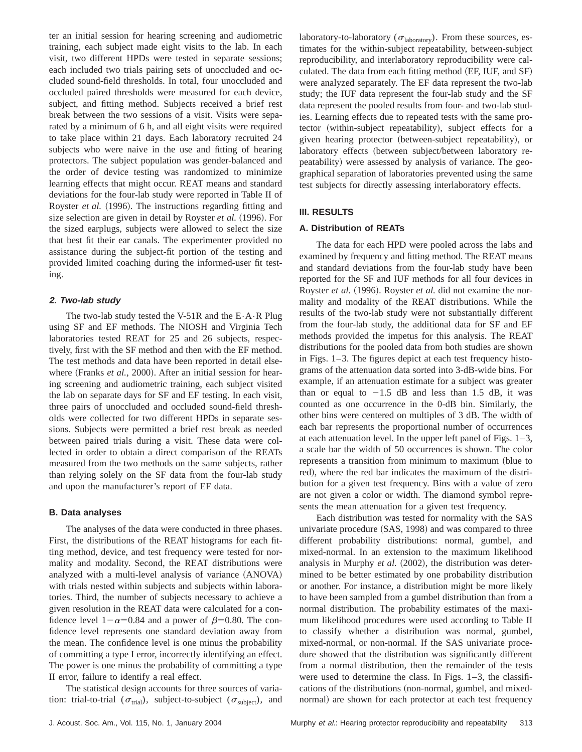ter an initial session for hearing screening and audiometric training, each subject made eight visits to the lab. In each visit, two different HPDs were tested in separate sessions; each included two trials pairing sets of unoccluded and occluded sound-field thresholds. In total, four unoccluded and occluded paired thresholds were measured for each device, subject, and fitting method. Subjects received a brief rest break between the two sessions of a visit. Visits were separated by a minimum of 6 h, and all eight visits were required to take place within 21 days. Each laboratory recruited 24 subjects who were naive in the use and fitting of hearing protectors. The subject population was gender-balanced and the order of device testing was randomized to minimize learning effects that might occur. REAT means and standard deviations for the four-lab study were reported in Table II of Royster *et al.* (1996). The instructions regarding fitting and size selection are given in detail by Royster *et al.* (1996). For the sized earplugs, subjects were allowed to select the size that best fit their ear canals. The experimenter provided no assistance during the subject-fit portion of the testing and provided limited coaching during the informed-user fit testing.

# **2. Two-lab study**

The two-lab study tested the V-51R and the  $E \cdot A \cdot R$  Plug using SF and EF methods. The NIOSH and Virginia Tech laboratories tested REAT for 25 and 26 subjects, respectively, first with the SF method and then with the EF method. The test methods and data have been reported in detail elsewhere (Franks *et al.*, 2000). After an initial session for hearing screening and audiometric training, each subject visited the lab on separate days for SF and EF testing. In each visit, three pairs of unoccluded and occluded sound-field thresholds were collected for two different HPDs in separate sessions. Subjects were permitted a brief rest break as needed between paired trials during a visit. These data were collected in order to obtain a direct comparison of the REATs measured from the two methods on the same subjects, rather than relying solely on the SF data from the four-lab study and upon the manufacturer's report of EF data.

#### **B. Data analyses**

The analyses of the data were conducted in three phases. First, the distributions of the REAT histograms for each fitting method, device, and test frequency were tested for normality and modality. Second, the REAT distributions were analyzed with a multi-level analysis of variance (ANOVA) with trials nested within subjects and subjects within laboratories. Third, the number of subjects necessary to achieve a given resolution in the REAT data were calculated for a confidence level  $1-\alpha=0.84$  and a power of  $\beta=0.80$ . The confidence level represents one standard deviation away from the mean. The confidence level is one minus the probability of committing a type I error, incorrectly identifying an effect. The power is one minus the probability of committing a type II error, failure to identify a real effect.

The statistical design accounts for three sources of variation: trial-to-trial ( $\sigma_{\text{trial}}$ ), subject-to-subject ( $\sigma_{\text{subject}}$ ), and laboratory-to-laboratory ( $\sigma_{\text{laboratory}}$ ). From these sources, estimates for the within-subject repeatability, between-subject reproducibility, and interlaboratory reproducibility were calculated. The data from each fitting method  $(EF, IUF, and SF)$ were analyzed separately. The EF data represent the two-lab study; the IUF data represent the four-lab study and the SF data represent the pooled results from four- and two-lab studies. Learning effects due to repeated tests with the same protector (within-subject repeatability), subject effects for a given hearing protector (between-subject repeatability), or laboratory effects (between subject/between laboratory repeatability) were assessed by analysis of variance. The geographical separation of laboratories prevented using the same test subjects for directly assessing interlaboratory effects.

## **III. RESULTS**

#### **A. Distribution of REATs**

The data for each HPD were pooled across the labs and examined by frequency and fitting method. The REAT means and standard deviations from the four-lab study have been reported for the SF and IUF methods for all four devices in Royster *et al.* (1996). Royster *et al.* did not examine the normality and modality of the REAT distributions. While the results of the two-lab study were not substantially different from the four-lab study, the additional data for SF and EF methods provided the impetus for this analysis. The REAT distributions for the pooled data from both studies are shown in Figs. 1–3. The figures depict at each test frequency histograms of the attenuation data sorted into 3-dB-wide bins. For example, if an attenuation estimate for a subject was greater than or equal to  $-1.5$  dB and less than 1.5 dB, it was counted as one occurrence in the 0-dB bin. Similarly, the other bins were centered on multiples of 3 dB. The width of each bar represents the proportional number of occurrences at each attenuation level. In the upper left panel of Figs. 1–3, a scale bar the width of 50 occurrences is shown. The color represents a transition from minimum to maximum (blue to red), where the red bar indicates the maximum of the distribution for a given test frequency. Bins with a value of zero are not given a color or width. The diamond symbol represents the mean attenuation for a given test frequency.

Each distribution was tested for normality with the SAS univariate procedure (SAS, 1998) and was compared to three different probability distributions: normal, gumbel, and mixed-normal. In an extension to the maximum likelihood analysis in Murphy *et al.* (2002), the distribution was determined to be better estimated by one probability distribution or another. For instance, a distribution might be more likely to have been sampled from a gumbel distribution than from a normal distribution. The probability estimates of the maximum likelihood procedures were used according to Table II to classify whether a distribution was normal, gumbel, mixed-normal, or non-normal. If the SAS univariate procedure showed that the distribution was significantly different from a normal distribution, then the remainder of the tests were used to determine the class. In Figs. 1–3, the classifications of the distributions (non-normal, gumbel, and mixednormal) are shown for each protector at each test frequency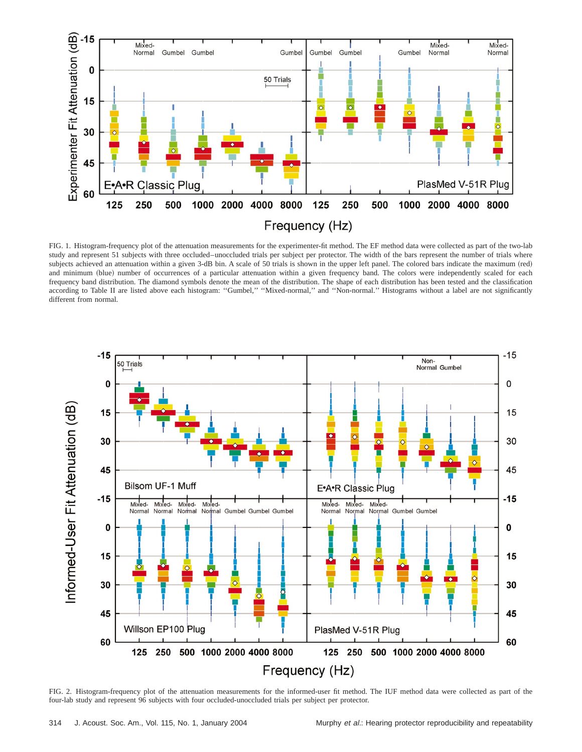

FIG. 1. Histogram-frequency plot of the attenuation measurements for the experimenter-fit method. The EF method data were collected as part of the two-lab study and represent 51 subjects with three occluded–unoccluded trials per subject per protector. The width of the bars represent the number of trials where subjects achieved an attenuation within a given 3-dB bin. A scale of 50 trials is shown in the upper left panel. The colored bars indicate the maximum (red) and minimum (blue) number of occurrences of a particular attenuation within a given frequency band. The colors were independently scaled for each frequency band distribution. The diamond symbols denote the mean of the distribution. The shape of each distribution has been tested and the classification according to Table II are listed above each histogram: ''Gumbel,'' ''Mixed-normal,'' and ''Non-normal.'' Histograms without a label are not significantly different from normal.



FIG. 2. Histogram-frequency plot of the attenuation measurements for the informed-user fit method. The IUF method data were collected as part of the four-lab study and represent 96 subjects with four occluded-unoccluded trials per subject per protector.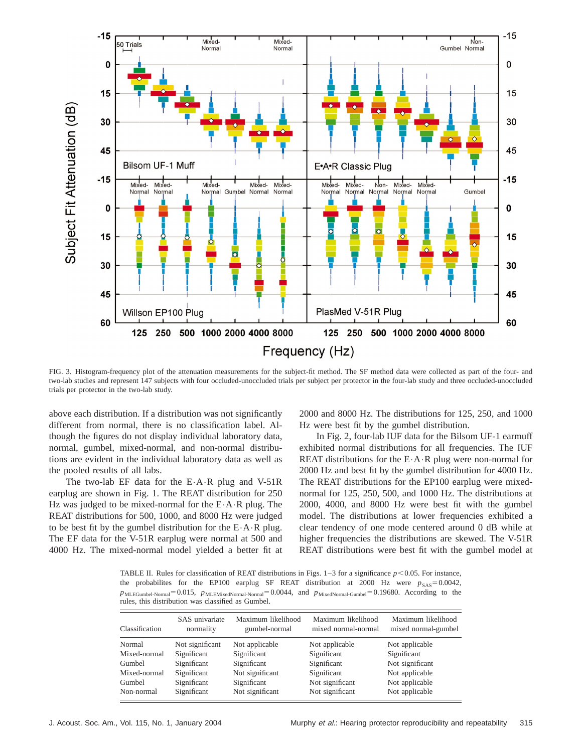

FIG. 3. Histogram-frequency plot of the attenuation measurements for the subject-fit method. The SF method data were collected as part of the four- and two-lab studies and represent 147 subjects with four occluded-unoccluded trials per subject per protector in the four-lab study and three occluded-unoccluded trials per protector in the two-lab study.

above each distribution. If a distribution was not significantly different from normal, there is no classification label. Although the figures do not display individual laboratory data, normal, gumbel, mixed-normal, and non-normal distributions are evident in the individual laboratory data as well as the pooled results of all labs.

The two-lab EF data for the  $E \cdot A \cdot R$  plug and V-51R earplug are shown in Fig. 1. The REAT distribution for 250 Hz was judged to be mixed-normal for the E•A•R plug. The REAT distributions for 500, 1000, and 8000 Hz were judged to be best fit by the gumbel distribution for the  $E \cdot A \cdot R$  plug. The EF data for the V-51R earplug were normal at 500 and 4000 Hz. The mixed-normal model yielded a better fit at 2000 and 8000 Hz. The distributions for 125, 250, and 1000 Hz were best fit by the gumbel distribution.

In Fig. 2, four-lab IUF data for the Bilsom UF-1 earmuff exhibited normal distributions for all frequencies. The IUF REAT distributions for the  $E \cdot A \cdot R$  plug were non-normal for 2000 Hz and best fit by the gumbel distribution for 4000 Hz. The REAT distributions for the EP100 earplug were mixednormal for 125, 250, 500, and 1000 Hz. The distributions at 2000, 4000, and 8000 Hz were best fit with the gumbel model. The distributions at lower frequencies exhibited a clear tendency of one mode centered around 0 dB while at higher frequencies the distributions are skewed. The V-51R REAT distributions were best fit with the gumbel model at

TABLE II. Rules for classification of REAT distributions in Figs.  $1-3$  for a significance  $p < 0.05$ . For instance, the probabilites for the EP100 earplug SF REAT distribution at 2000 Hz were  $p_{SAS} = 0.0042$ , *p*MLEGumbel-Normal=0.015, *p*MLEMixedNormal-Normal=0.0044, and *p*MixedNormal-Gumbel=0.19680. According to the rules, this distribution was classified as Gumbel.

| Classification | SAS univariate<br>normality | Maximum likelihood<br>gumbel-normal | Maximum likelihood<br>mixed normal-normal | Maximum likelihood<br>mixed normal-gumbel |
|----------------|-----------------------------|-------------------------------------|-------------------------------------------|-------------------------------------------|
| Normal         | Not significant             | Not applicable                      | Not applicable                            | Not applicable                            |
| Mixed-normal   | Significant                 | Significant                         | Significant                               | Significant                               |
| Gumbel         | Significant                 | Significant                         | Significant                               | Not significant                           |
| Mixed-normal   | Significant                 | Not significant                     | Significant                               | Not applicable                            |
| Gumbel         | Significant                 | Significant                         | Not significant                           | Not applicable                            |
| Non-normal     | Significant                 | Not significant                     | Not significant                           | Not applicable                            |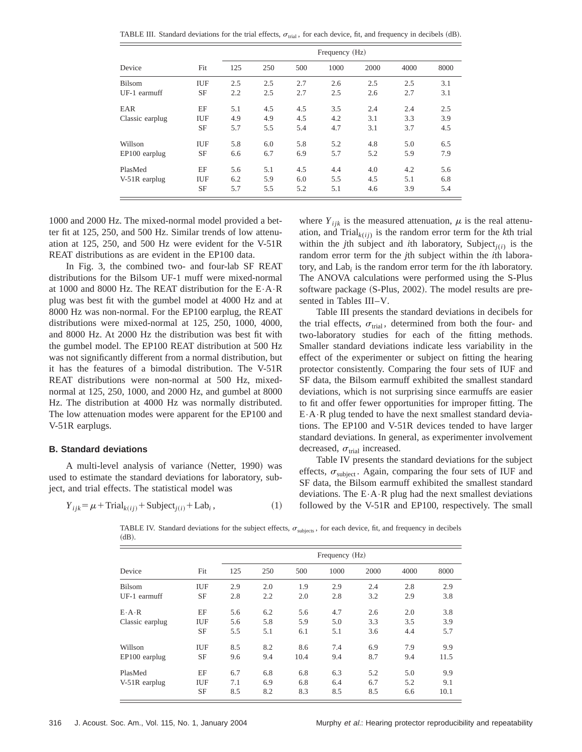TABLE III. Standard deviations for the trial effects,  $\sigma_{\text{trial}}$ , for each device, fit, and frequency in decibels (dB).

| Device          |            |     | Frequency (Hz) |     |      |      |      |      |  |
|-----------------|------------|-----|----------------|-----|------|------|------|------|--|
|                 | Fit        | 125 | 250            | 500 | 1000 | 2000 | 4000 | 8000 |  |
| Bilsom          | IUF        | 2.5 | 2.5            | 2.7 | 2.6  | 2.5  | 2.5  | 3.1  |  |
| UF-1 earmuff    | <b>SF</b>  | 2.2 | 2.5            | 2.7 | 2.5  | 2.6  | 2.7  | 3.1  |  |
| EAR             | EF         | 5.1 | 4.5            | 4.5 | 3.5  | 2.4  | 2.4  | 2.5  |  |
| Classic earplug | IUF        | 4.9 | 4.9            | 4.5 | 4.2  | 3.1  | 3.3  | 3.9  |  |
|                 | SF         | 5.7 | 5.5            | 5.4 | 4.7  | 3.1  | 3.7  | 4.5  |  |
| Willson         | IUF        | 5.8 | 6.0            | 5.8 | 5.2  | 4.8  | 5.0  | 6.5  |  |
| EP100 earplug   | SF         | 6.6 | 6.7            | 6.9 | 5.7  | 5.2  | 5.9  | 7.9  |  |
| PlasMed         | EF         | 5.6 | 5.1            | 4.5 | 4.4  | 4.0  | 4.2  | 5.6  |  |
| V-51R earplug   | <b>IUF</b> | 6.2 | 5.9            | 6.0 | 5.5  | 4.5  | 5.1  | 6.8  |  |
|                 | SF         | 5.7 | 5.5            | 5.2 | 5.1  | 4.6  | 3.9  | 5.4  |  |

1000 and 2000 Hz. The mixed-normal model provided a better fit at 125, 250, and 500 Hz. Similar trends of low attenuation at 125, 250, and 500 Hz were evident for the V-51R REAT distributions as are evident in the EP100 data.

In Fig. 3, the combined two- and four-lab SF REAT distributions for the Bilsom UF-1 muff were mixed-normal at 1000 and 8000 Hz. The REAT distribution for the E•A•R plug was best fit with the gumbel model at 4000 Hz and at 8000 Hz was non-normal. For the EP100 earplug, the REAT distributions were mixed-normal at 125, 250, 1000, 4000, and 8000 Hz. At 2000 Hz the distribution was best fit with the gumbel model. The EP100 REAT distribution at 500 Hz was not significantly different from a normal distribution, but it has the features of a bimodal distribution. The V-51R REAT distributions were non-normal at 500 Hz, mixednormal at 125, 250, 1000, and 2000 Hz, and gumbel at 8000 Hz. The distribution at 4000 Hz was normally distributed. The low attenuation modes were apparent for the EP100 and V-51R earplugs.

#### **B. Standard deviations**

A multi-level analysis of variance (Netter, 1990) was used to estimate the standard deviations for laboratory, subject, and trial effects. The statistical model was

$$
Y_{ijk} = \mu + \text{Trial}_{k(ij)} + \text{Subject}_{j(i)} + \text{Lab}_i,
$$
\n(1)

where  $Y_{ijk}$  is the measured attenuation,  $\mu$  is the real attenuation, and  $\text{Trial}_{k(i)}$  is the random error term for the *k*th trial within the *j*th subject and *i*th laboratory, Subject<sub>*j*(*i*)</sub> is the random error term for the *j*th subject within the *i*th laboratory, and Lab*<sup>i</sup>* is the random error term for the *i*th laboratory. The ANOVA calculations were performed using the S-Plus software package (S-Plus, 2002). The model results are presented in Tables III–V.

Table III presents the standard deviations in decibels for the trial effects,  $\sigma_{trial}$ , determined from both the four- and two-laboratory studies for each of the fitting methods. Smaller standard deviations indicate less variability in the effect of the experimenter or subject on fitting the hearing protector consistently. Comparing the four sets of IUF and SF data, the Bilsom earmuff exhibited the smallest standard deviations, which is not surprising since earmuffs are easier to fit and offer fewer opportunities for improper fitting. The  $E \cdot A \cdot R$  plug tended to have the next smallest standard deviations. The EP100 and V-51R devices tended to have larger standard deviations. In general, as experimenter involvement decreased,  $\sigma_{\text{trial}}$  increased.

Table IV presents the standard deviations for the subject effects,  $\sigma_{\text{subject}}$ . Again, comparing the four sets of IUF and SF data, the Bilsom earmuff exhibited the smallest standard deviations. The  $E \cdot A \cdot R$  plug had the next smallest deviations followed by the V-51R and EP100, respectively. The small

TABLE IV. Standard deviations for the subject effects,  $\sigma_{\text{subiects}}$ , for each device, fit, and frequency in decibels  $(dB)$ .

| Device              | Frequency (Hz) |     |     |      |      |      |      |      |
|---------------------|----------------|-----|-----|------|------|------|------|------|
|                     | Fit            | 125 | 250 | 500  | 1000 | 2000 | 4000 | 8000 |
| Bilsom              | IUF            | 2.9 | 2.0 | 1.9  | 2.9  | 2.4  | 2.8  | 2.9  |
| UF-1 earmuff        | <b>SF</b>      | 2.8 | 2.2 | 2.0  | 2.8  | 3.2  | 2.9  | 3.8  |
| $E \cdot A \cdot R$ | EF             | 5.6 | 6.2 | 5.6  | 4.7  | 2.6  | 2.0  | 3.8  |
| Classic earplug     | IUF            | 5.6 | 5.8 | 5.9  | 5.0  | 3.3  | 3.5  | 3.9  |
|                     | <b>SF</b>      | 5.5 | 5.1 | 6.1  | 5.1  | 3.6  | 4.4  | 5.7  |
| Willson             | <b>IUF</b>     | 8.5 | 8.2 | 8.6  | 7.4  | 6.9  | 7.9  | 9.9  |
| EP100 earplug       | <b>SF</b>      | 9.6 | 9.4 | 10.4 | 9.4  | 8.7  | 9.4  | 11.5 |
| PlasMed             | EF             | 6.7 | 6.8 | 6.8  | 6.3  | 5.2  | 5.0  | 9.9  |
| V-51R earplug       | IUF            | 7.1 | 6.9 | 6.8  | 6.4  | 6.7  | 5.2  | 9.1  |
|                     | SF             | 8.5 | 8.2 | 8.3  | 8.5  | 8.5  | 6.6  | 10.1 |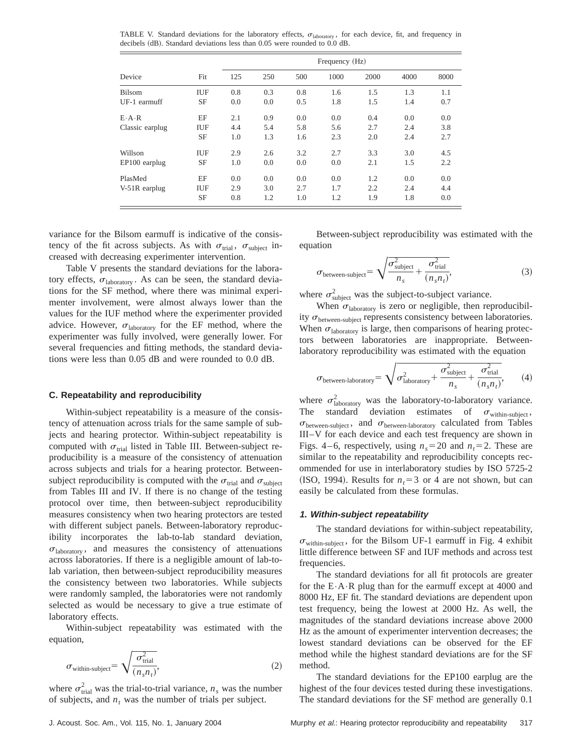TABLE V. Standard deviations for the laboratory effects,  $\sigma_{\text{laboratory}}$ , for each device, fit, and frequency in  $\alpha$  decibels  $\alpha$ B. Standard deviations less than 0.05 were rounded to 0.0 dB.

| Device              |     | Frequency (Hz) |     |     |      |      |      |      |  |
|---------------------|-----|----------------|-----|-----|------|------|------|------|--|
|                     | Fit | 125            | 250 | 500 | 1000 | 2000 | 4000 | 8000 |  |
| <b>Bilsom</b>       | IUF | 0.8            | 0.3 | 0.8 | 1.6  | 1.5  | 1.3  | 1.1  |  |
| UF-1 earmuff        | SF  | 0.0            | 0.0 | 0.5 | 1.8  | 1.5  | 1.4  | 0.7  |  |
| $E \cdot A \cdot R$ | EF  | 2.1            | 0.9 | 0.0 | 0.0  | 0.4  | 0.0  | 0.0  |  |
| Classic earplug     | IUF | 4.4            | 5.4 | 5.8 | 5.6  | 2.7  | 2.4  | 3.8  |  |
|                     | SF  | 1.0            | 1.3 | 1.6 | 2.3  | 2.0  | 2.4  | 2.7  |  |
| Willson             | IUF | 2.9            | 2.6 | 3.2 | 2.7  | 3.3  | 3.0  | 4.5  |  |
| EP100 earplug       | SF  | 1.0            | 0.0 | 0.0 | 0.0  | 2.1  | 1.5  | 2.2  |  |
| PlasMed             | EF  | 0.0            | 0.0 | 0.0 | 0.0  | 1.2  | 0.0  | 0.0  |  |
| V-51R earplug       | IUF | 2.9            | 3.0 | 2.7 | 1.7  | 2.2  | 2.4  | 4.4  |  |
|                     | SF  | 0.8            | 1.2 | 1.0 | 1.2  | 1.9  | 1.8  | 0.0  |  |

variance for the Bilsom earmuff is indicative of the consistency of the fit across subjects. As with  $\sigma_{trial}$ ,  $\sigma_{subject}$  increased with decreasing experimenter intervention.

Table V presents the standard deviations for the laboratory effects,  $\sigma_{\text{laboratory}}$ . As can be seen, the standard deviations for the SF method, where there was minimal experimenter involvement, were almost always lower than the values for the IUF method where the experimenter provided advice. However,  $\sigma_{\text{laboratory}}$  for the EF method, where the experimenter was fully involved, were generally lower. For several frequencies and fitting methods, the standard deviations were less than 0.05 dB and were rounded to 0.0 dB.

#### **C. Repeatability and reproducibility**

Within-subject repeatability is a measure of the consistency of attenuation across trials for the same sample of subjects and hearing protector. Within-subject repeatability is computed with  $\sigma_{\text{trial}}$  listed in Table III. Between-subject reproducibility is a measure of the consistency of attenuation across subjects and trials for a hearing protector. Betweensubject reproducibility is computed with the  $\sigma_{\text{trial}}$  and  $\sigma_{\text{subject}}$ from Tables III and IV. If there is no change of the testing protocol over time, then between-subject reproducibility measures consistency when two hearing protectors are tested with different subject panels. Between-laboratory reproducibility incorporates the lab-to-lab standard deviation,  $\sigma_{\text{laboratory}}$ , and measures the consistency of attenuations across laboratories. If there is a negligible amount of lab-tolab variation, then between-subject reproducibility measures the consistency between two laboratories. While subjects were randomly sampled, the laboratories were not randomly selected as would be necessary to give a true estimate of laboratory effects.

Within-subject repeatability was estimated with the equation,

$$
\sigma_{\text{within-subject}} = \sqrt{\frac{\sigma_{\text{trial}}^2}{(n_s n_t)}},\tag{2}
$$

where  $\sigma_{\text{trial}}^2$  was the trial-to-trial variance,  $n_s$  was the number of subjects, and  $n_t$  was the number of trials per subject.

Between-subject reproducibility was estimated with the equation

$$
\sigma_{\text{between-subject}} = \sqrt{\frac{\sigma_{\text{subject}}^2}{n_s} + \frac{\sigma_{\text{trial}}^2}{(n_s n_t)}},\tag{3}
$$

where  $\sigma_{\text{subject}}^2$  was the subject-to-subject variance.

When  $\sigma_{\text{laboratory}}$  is zero or negligible, then reproducibility  $\sigma_{\text{between-subject}}$  represents consistency between laboratories. When  $\sigma_{\text{laboratory}}$  is large, then comparisons of hearing protectors between laboratories are inappropriate. Betweenlaboratory reproducibility was estimated with the equation

$$
\sigma_{\text{between-laboratory}} = \sqrt{\sigma_{\text{laboratory}}^2 + \frac{\sigma_{\text{subject}}^2}{n_s} + \frac{\sigma_{\text{trial}}^2}{(n_s n_t)}},\qquad(4)
$$

where  $\sigma_{\text{laboratory}}^2$  was the laboratory-to-laboratory variance. The standard deviation estimates of  $\sigma_{within-subject}$ ,  $\sigma_{\text{between-subject}}$ , and  $\sigma_{\text{between-laboratory}}$  calculated from Tables III–V for each device and each test frequency are shown in Figs. 4–6, respectively, using  $n_s$ =20 and  $n_t$ =2. These are similar to the repeatability and reproducibility concepts recommended for use in interlaboratory studies by ISO 5725-2 (ISO, 1994). Results for  $n<sub>t</sub>=3$  or 4 are not shown, but can easily be calculated from these formulas.

#### **1. Within-subject repeatability**

The standard deviations for within-subject repeatability,  $\sigma_{\text{within-subiect}}$ , for the Bilsom UF-1 earmuff in Fig. 4 exhibit little difference between SF and IUF methods and across test frequencies.

The standard deviations for all fit protocols are greater for the  $E \cdot A \cdot R$  plug than for the earmuff except at 4000 and 8000 Hz, EF fit. The standard deviations are dependent upon test frequency, being the lowest at 2000 Hz. As well, the magnitudes of the standard deviations increase above 2000 Hz as the amount of experimenter intervention decreases; the lowest standard deviations can be observed for the EF method while the highest standard deviations are for the SF method.

The standard deviations for the EP100 earplug are the highest of the four devices tested during these investigations. The standard deviations for the SF method are generally 0.1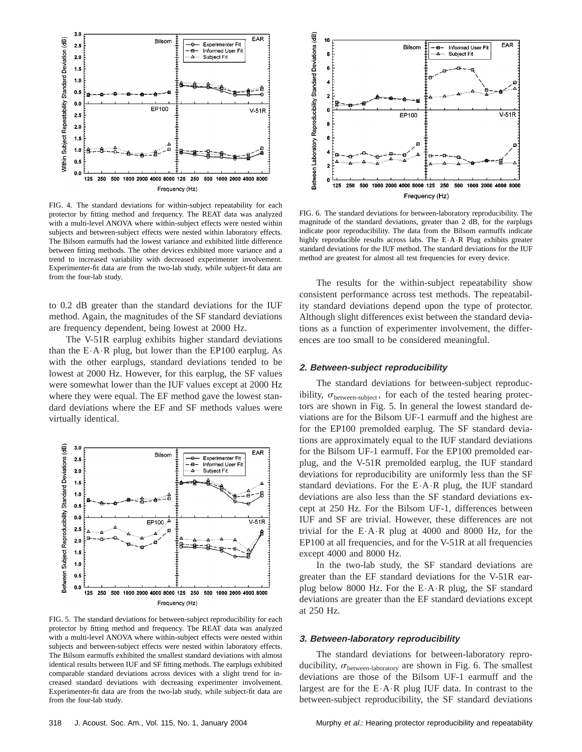

FIG. 4. The standard deviations for within-subject repeatability for each protector by fitting method and frequency. The REAT data was analyzed with a multi-level ANOVA where within-subject effects were nested within subjects and between-subject effects were nested within laboratory effects. The Bilsom earmuffs had the lowest variance and exhibited little difference between fitting methods. The other devices exhibited more variance and a trend to increased variability with decreased experimenter involvement. Experimenter-fit data are from the two-lab study, while subject-fit data are from the four-lab study.

to 0.2 dB greater than the standard deviations for the IUF method. Again, the magnitudes of the SF standard deviations are frequency dependent, being lowest at 2000 Hz.

The V-51R earplug exhibits higher standard deviations than the  $E \cdot A \cdot R$  plug, but lower than the EP100 earplug. As with the other earplugs, standard deviations tended to be lowest at 2000 Hz. However, for this earplug, the SF values were somewhat lower than the IUF values except at 2000 Hz where they were equal. The EF method gave the lowest standard deviations where the EF and SF methods values were virtually identical.



FIG. 5. The standard deviations for between-subject reproducibility for each protector by fitting method and frequency. The REAT data was analyzed with a multi-level ANOVA where within-subject effects were nested within subjects and between-subject effects were nested within laboratory effects. The Bilsom earmuffs exhibited the smallest standard deviations with almost identical results between IUF and SF fitting methods. The earplugs exhibited comparable standard deviations across devices with a slight trend for increased standard deviations with decreasing experimenter involvement. Experimenter-fit data are from the two-lab study, while subject-fit data are from the four-lab study.



FIG. 6. The standard deviations for between-laboratory reproducibility. The magnitude of the standard deviations, greater than 2 dB, for the earplugs indicate poor reproducibility. The data from the Bilsom earmuffs indicate highly reproducible results across labs. The E•A•R Plug exhibits greater standard deviations for the IUF method. The standard deviations for the IUF method are greatest for almost all test frequencies for every device.

The results for the within-subject repeatability show consistent performance across test methods. The repeatability standard deviations depend upon the type of protector. Although slight differences exist between the standard deviations as a function of experimenter involvement, the differences are too small to be considered meaningful.

#### **2. Between-subject reproducibility**

The standard deviations for between-subject reproducibility,  $\sigma_{between-subject}$ , for each of the tested hearing protectors are shown in Fig. 5. In general the lowest standard deviations are for the Bilsom UF-1 earmuff and the highest are for the EP100 premolded earplug. The SF standard deviations are approximately equal to the IUF standard deviations for the Bilsom UF-1 earmuff. For the EP100 premolded earplug, and the V-51R premolded earplug, the IUF standard deviations for reproducibility are uniformly less than the SF standard deviations. For the  $E \cdot A \cdot R$  plug, the IUF standard deviations are also less than the SF standard deviations except at 250 Hz. For the Bilsom UF-1, differences between IUF and SF are trivial. However, these differences are not trivial for the  $E \cdot A \cdot R$  plug at 4000 and 8000 Hz, for the EP100 at all frequencies, and for the V-51R at all frequencies except 4000 and 8000 Hz.

In the two-lab study, the SF standard deviations are greater than the EF standard deviations for the V-51R earplug below 8000 Hz. For the  $E \cdot A \cdot R$  plug, the SF standard deviations are greater than the EF standard deviations except at 250 Hz.

#### **3. Between-laboratory reproducibility**

The standard deviations for between-laboratory reproducibility,  $\sigma_{\text{between-laboratory}}$  are shown in Fig. 6. The smallest deviations are those of the Bilsom UF-1 earmuff and the largest are for the  $E \cdot A \cdot R$  plug IUF data. In contrast to the between-subject reproducibility, the SF standard deviations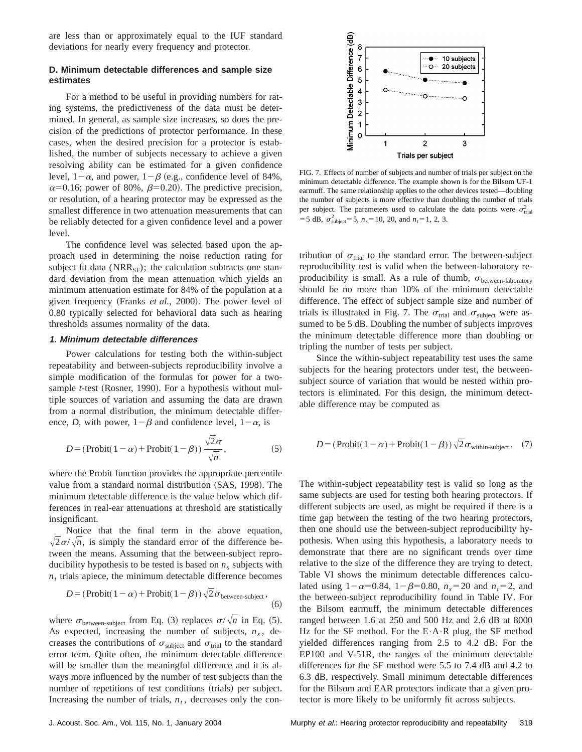are less than or approximately equal to the IUF standard deviations for nearly every frequency and protector.

#### **D. Minimum detectable differences and sample size estimates**

For a method to be useful in providing numbers for rating systems, the predictiveness of the data must be determined. In general, as sample size increases, so does the precision of the predictions of protector performance. In these cases, when the desired precision for a protector is established, the number of subjects necessary to achieve a given resolving ability can be estimated for a given confidence level,  $1-\alpha$ , and power,  $1-\beta$  (e.g., confidence level of 84%,  $\alpha$ =0.16; power of 80%,  $\beta$ =0.20). The predictive precision, or resolution, of a hearing protector may be expressed as the smallest difference in two attenuation measurements that can be reliably detected for a given confidence level and a power level.

The confidence level was selected based upon the approach used in determining the noise reduction rating for subject fit data ( $NRR_{SF}$ ); the calculation subtracts one standard deviation from the mean attenuation which yields an minimum attenuation estimate for 84% of the population at a given frequency (Franks *et al.*, 2000). The power level of 0.80 typically selected for behavioral data such as hearing thresholds assumes normality of the data.

#### **1. Minimum detectable differences**

Power calculations for testing both the within-subject repeatability and between-subjects reproducibility involve a simple modification of the formulas for power for a twosample *t*-test (Rosner, 1990). For a hypothesis without multiple sources of variation and assuming the data are drawn from a normal distribution, the minimum detectable difference, *D*, with power,  $1-\beta$  and confidence level,  $1-\alpha$ , is

$$
D = (\text{Probability}(1 - \alpha) + \text{Probability}(1 - \beta))\frac{\sqrt{2}\sigma}{\sqrt{n}},\tag{5}
$$

where the Probit function provides the appropriate percentile value from a standard normal distribution (SAS, 1998). The minimum detectable difference is the value below which differences in real-ear attenuations at threshold are statistically insignificant.

Notice that the final term in the above equation,  $\sqrt{2\sigma}/\sqrt{n}$ , is simply the standard error of the difference between the means. Assuming that the between-subject reproducibility hypothesis to be tested is based on  $n<sub>s</sub>$  subjects with  $n<sub>t</sub>$  trials apiece, the minimum detectable difference becomes

$$
D = (\text{Probability}(1 - \alpha) + \text{Probability}(1 - \beta))\sqrt{2}\sigma_{\text{between-subject}},
$$
\n(6)

where  $\sigma_{\text{between-subject}}$  from Eq. (3) replaces  $\sigma/\sqrt{n}$  in Eq. (5). As expected, increasing the number of subjects,  $n<sub>s</sub>$ , decreases the contributions of  $\sigma_{\text{subject}}$  and  $\sigma_{\text{trial}}$  to the standard error term. Quite often, the minimum detectable difference will be smaller than the meaningful difference and it is always more influenced by the number of test subjects than the number of repetitions of test conditions (trials) per subject. Increasing the number of trials,  $n_t$ , decreases only the con-



FIG. 7. Effects of number of subjects and number of trials per subject on the minimum detectable difference. The example shown is for the Bilsom UF-1 earmuff. The same relationship applies to the other devices tested—doubling the number of subjects is more effective than doubling the number of trials per subject. The parameters used to calculate the data points were  $\sigma_{\text{trial}}^2$  $=$  5 dB,  $\sigma_{\text{subject}}^2$  = 5,  $n_s$  = 10, 20, and  $n_t$  = 1, 2, 3.

tribution of  $\sigma_{\text{trial}}$  to the standard error. The between-subject reproducibility test is valid when the between-laboratory reproducibility is small. As a rule of thumb,  $\sigma_{between-laboratory}$ should be no more than 10% of the minimum detectable difference. The effect of subject sample size and number of trials is illustrated in Fig. 7. The  $\sigma_{\text{trial}}$  and  $\sigma_{\text{subject}}$  were assumed to be 5 dB. Doubling the number of subjects improves the minimum detectable difference more than doubling or tripling the number of tests per subject.

Since the within-subject repeatability test uses the same subjects for the hearing protectors under test, the betweensubject source of variation that would be nested within protectors is eliminated. For this design, the minimum detectable difference may be computed as

$$
D = (\text{Probability}(1 - \alpha) + \text{Profit}(1 - \beta))\sqrt{2}\sigma_{\text{within-subject}}.
$$
 (7)

The within-subject repeatability test is valid so long as the same subjects are used for testing both hearing protectors. If different subjects are used, as might be required if there is a time gap between the testing of the two hearing protectors, then one should use the between-subject reproducibility hypothesis. When using this hypothesis, a laboratory needs to demonstrate that there are no significant trends over time relative to the size of the difference they are trying to detect. Table VI shows the minimum detectable differences calculated using  $1-\alpha=0.84$ ,  $1-\beta=0.80$ ,  $n_s=20$  and  $n_t=2$ , and the between-subject reproducibility found in Table IV. For the Bilsom earmuff, the minimum detectable differences ranged between 1.6 at 250 and 500 Hz and 2.6 dB at 8000 Hz for the SF method. For the  $E \cdot A \cdot R$  plug, the SF method yielded differences ranging from 2.5 to 4.2 dB. For the EP100 and V-51R, the ranges of the minimum detectable differences for the SF method were 5.5 to 7.4 dB and 4.2 to 6.3 dB, respectively. Small minimum detectable differences for the Bilsom and EAR protectors indicate that a given protector is more likely to be uniformly fit across subjects.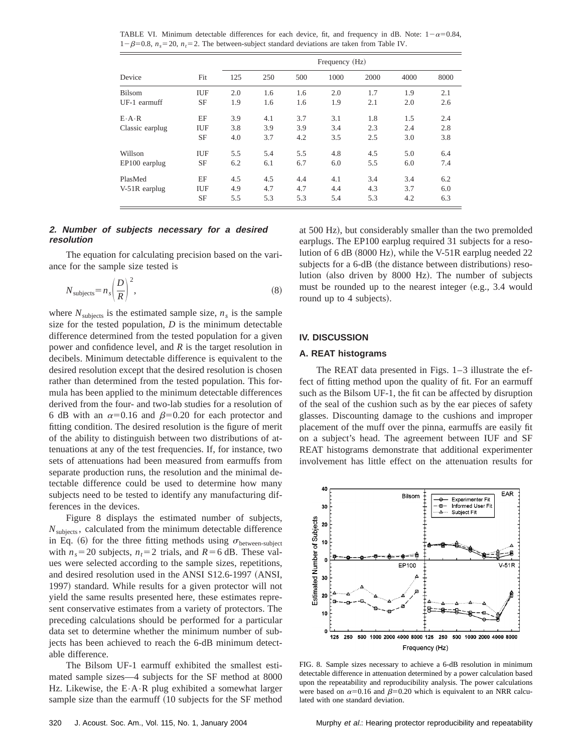TABLE VI. Minimum detectable differences for each device, fit, and frequency in dB. Note:  $1-\alpha=0.84$ ,  $1-\beta=0.8$ ,  $n_s=20$ ,  $n_t=2$ . The between-subject standard deviations are taken from Table IV.

|                     |     | Frequency (Hz) |     |     |      |      |      |      |  |
|---------------------|-----|----------------|-----|-----|------|------|------|------|--|
| Device              | Fit | 125            | 250 | 500 | 1000 | 2000 | 4000 | 8000 |  |
| Bilsom              | IUF | 2.0            | 1.6 | 1.6 | 2.0  | 1.7  | 1.9  | 2.1  |  |
| UF-1 earmuff        | SF  | 1.9            | 1.6 | 1.6 | 1.9  | 2.1  | 2.0  | 2.6  |  |
| $E \cdot A \cdot R$ | EF  | 3.9            | 4.1 | 3.7 | 3.1  | 1.8  | 1.5  | 2.4  |  |
| Classic earplug     | IUF | 3.8            | 3.9 | 3.9 | 3.4  | 2.3  | 2.4  | 2.8  |  |
|                     | SF  | 4.0            | 3.7 | 4.2 | 3.5  | 2.5  | 3.0  | 3.8  |  |
| Willson             | IUF | 5.5            | 5.4 | 5.5 | 4.8  | 4.5  | 5.0  | 6.4  |  |
| EP100 earplug       | SF  | 6.2            | 6.1 | 6.7 | 6.0  | 5.5  | 6.0  | 7.4  |  |
| PlasMed             | EF  | 4.5            | 4.5 | 4.4 | 4.1  | 3.4  | 3.4  | 6.2  |  |
| V-51R earplug       | IUF | 4.9            | 4.7 | 4.7 | 4.4  | 4.3  | 3.7  | 6.0  |  |
|                     | SF  | 5.5            | 5.3 | 5.3 | 5.4  | 5.3  | 4.2  | 6.3  |  |

#### **2. Number of subjects necessary for <sup>a</sup> desired resolution**

The equation for calculating precision based on the variance for the sample size tested is

$$
N_{\text{subjects}} = n_s \left(\frac{D}{R}\right)^2,\tag{8}
$$

where  $N_{\text{subiects}}$  is the estimated sample size,  $n_s$  is the sample size for the tested population, *D* is the minimum detectable difference determined from the tested population for a given power and confidence level, and *R* is the target resolution in decibels. Minimum detectable difference is equivalent to the desired resolution except that the desired resolution is chosen rather than determined from the tested population. This formula has been applied to the minimum detectable differences derived from the four- and two-lab studies for a resolution of 6 dB with an  $\alpha$ =0.16 and  $\beta$ =0.20 for each protector and fitting condition. The desired resolution is the figure of merit of the ability to distinguish between two distributions of attenuations at any of the test frequencies. If, for instance, two sets of attenuations had been measured from earmuffs from separate production runs, the resolution and the minimal detectable difference could be used to determine how many subjects need to be tested to identify any manufacturing differences in the devices.

Figure 8 displays the estimated number of subjects,  $N_{\text{subiects}}$ , calculated from the minimum detectable difference in Eq. (6) for the three fitting methods using  $\sigma_{between-subiect}$ with  $n_s$ =20 subjects,  $n_t$ =2 trials, and  $R$ =6 dB. These values were selected according to the sample sizes, repetitions, and desired resolution used in the ANSI S12.6-1997 (ANSI, 1997) standard. While results for a given protector will not yield the same results presented here, these estimates represent conservative estimates from a variety of protectors. The preceding calculations should be performed for a particular data set to determine whether the minimum number of subjects has been achieved to reach the 6-dB minimum detectable difference.

The Bilsom UF-1 earmuff exhibited the smallest estimated sample sizes—4 subjects for the SF method at 8000 Hz. Likewise, the  $E \cdot A \cdot R$  plug exhibited a somewhat larger sample size than the earmuff (10 subjects for the SF method at 500 Hz), but considerably smaller than the two premolded earplugs. The EP100 earplug required 31 subjects for a resolution of 6 dB  $(8000 \text{ Hz})$ , while the V-51R earplug needed 22 subjects for a 6-dB (the distance between distributions) resolution (also driven by 8000 Hz). The number of subjects must be rounded up to the nearest integer  $(e.g., 3.4$  would round up to 4 subjects).

## **IV. DISCUSSION**

## **A. REAT histograms**

The REAT data presented in Figs. 1–3 illustrate the effect of fitting method upon the quality of fit. For an earmuff such as the Bilsom UF-1, the fit can be affected by disruption of the seal of the cushion such as by the ear pieces of safety glasses. Discounting damage to the cushions and improper placement of the muff over the pinna, earmuffs are easily fit on a subject's head. The agreement between IUF and SF REAT histograms demonstrate that additional experimenter involvement has little effect on the attenuation results for



FIG. 8. Sample sizes necessary to achieve a 6-dB resolution in minimum detectable difference in attenuation determined by a power calculation based upon the repeatability and reproducibility analysis. The power calculations were based on  $\alpha=0.16$  and  $\beta=0.20$  which is equivalent to an NRR calculated with one standard deviation.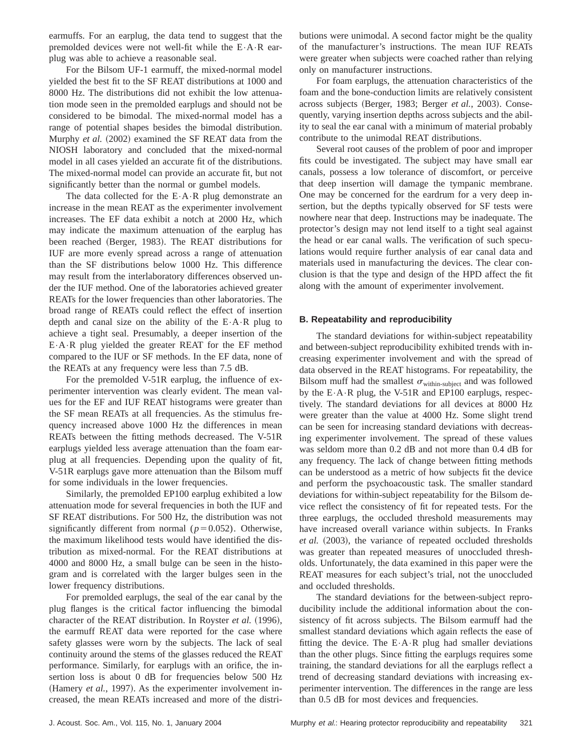earmuffs. For an earplug, the data tend to suggest that the premolded devices were not well-fit while the E•A•R earplug was able to achieve a reasonable seal.

For the Bilsom UF-1 earmuff, the mixed-normal model yielded the best fit to the SF REAT distributions at 1000 and 8000 Hz. The distributions did not exhibit the low attenuation mode seen in the premolded earplugs and should not be considered to be bimodal. The mixed-normal model has a range of potential shapes besides the bimodal distribution. Murphy *et al.* (2002) examined the SF REAT data from the NIOSH laboratory and concluded that the mixed-normal model in all cases yielded an accurate fit of the distributions. The mixed-normal model can provide an accurate fit, but not significantly better than the normal or gumbel models.

The data collected for the  $E \cdot A \cdot R$  plug demonstrate an increase in the mean REAT as the experimenter involvement increases. The EF data exhibit a notch at 2000 Hz, which may indicate the maximum attenuation of the earplug has been reached (Berger, 1983). The REAT distributions for IUF are more evenly spread across a range of attenuation than the SF distributions below 1000 Hz. This difference may result from the interlaboratory differences observed under the IUF method. One of the laboratories achieved greater REATs for the lower frequencies than other laboratories. The broad range of REATs could reflect the effect of insertion depth and canal size on the ability of the  $E \cdot A \cdot R$  plug to achieve a tight seal. Presumably, a deeper insertion of the E•A•R plug yielded the greater REAT for the EF method compared to the IUF or SF methods. In the EF data, none of the REATs at any frequency were less than 7.5 dB.

For the premolded V-51R earplug, the influence of experimenter intervention was clearly evident. The mean values for the EF and IUF REAT histograms were greater than the SF mean REATs at all frequencies. As the stimulus frequency increased above 1000 Hz the differences in mean REATs between the fitting methods decreased. The V-51R earplugs yielded less average attenuation than the foam earplug at all frequencies. Depending upon the quality of fit, V-51R earplugs gave more attenuation than the Bilsom muff for some individuals in the lower frequencies.

Similarly, the premolded EP100 earplug exhibited a low attenuation mode for several frequencies in both the IUF and SF REAT distributions. For 500 Hz, the distribution was not significantly different from normal  $(p=0.052)$ . Otherwise, the maximum likelihood tests would have identified the distribution as mixed-normal. For the REAT distributions at 4000 and 8000 Hz, a small bulge can be seen in the histogram and is correlated with the larger bulges seen in the lower frequency distributions.

For premolded earplugs, the seal of the ear canal by the plug flanges is the critical factor influencing the bimodal character of the REAT distribution. In Royster et al. (1996), the earmuff REAT data were reported for the case where safety glasses were worn by the subjects. The lack of seal continuity around the stems of the glasses reduced the REAT performance. Similarly, for earplugs with an orifice, the insertion loss is about 0 dB for frequencies below 500 Hz (Hamery *et al.*, 1997). As the experimenter involvement increased, the mean REATs increased and more of the distributions were unimodal. A second factor might be the quality of the manufacturer's instructions. The mean IUF REATs were greater when subjects were coached rather than relying only on manufacturer instructions.

For foam earplugs, the attenuation characteristics of the foam and the bone-conduction limits are relatively consistent across subjects (Berger, 1983; Berger *et al.*, 2003). Consequently, varying insertion depths across subjects and the ability to seal the ear canal with a minimum of material probably contribute to the unimodal REAT distributions.

Several root causes of the problem of poor and improper fits could be investigated. The subject may have small ear canals, possess a low tolerance of discomfort, or perceive that deep insertion will damage the tympanic membrane. One may be concerned for the eardrum for a very deep insertion, but the depths typically observed for SF tests were nowhere near that deep. Instructions may be inadequate. The protector's design may not lend itself to a tight seal against the head or ear canal walls. The verification of such speculations would require further analysis of ear canal data and materials used in manufacturing the devices. The clear conclusion is that the type and design of the HPD affect the fit along with the amount of experimenter involvement.

# **B. Repeatability and reproducibility**

The standard deviations for within-subject repeatability and between-subject reproducibility exhibited trends with increasing experimenter involvement and with the spread of data observed in the REAT histograms. For repeatability, the Bilsom muff had the smallest  $\sigma_{within-subject}$  and was followed by the  $E \cdot A \cdot R$  plug, the V-51R and EP100 earplugs, respectively. The standard deviations for all devices at 8000 Hz were greater than the value at 4000 Hz. Some slight trend can be seen for increasing standard deviations with decreasing experimenter involvement. The spread of these values was seldom more than 0.2 dB and not more than 0.4 dB for any frequency. The lack of change between fitting methods can be understood as a metric of how subjects fit the device and perform the psychoacoustic task. The smaller standard deviations for within-subject repeatability for the Bilsom device reflect the consistency of fit for repeated tests. For the three earplugs, the occluded threshold measurements may have increased overall variance within subjects. In Franks *et al.* (2003), the variance of repeated occluded thresholds was greater than repeated measures of unoccluded thresholds. Unfortunately, the data examined in this paper were the REAT measures for each subject's trial, not the unoccluded and occluded thresholds.

The standard deviations for the between-subject reproducibility include the additional information about the consistency of fit across subjects. The Bilsom earmuff had the smallest standard deviations which again reflects the ease of fitting the device. The  $E \cdot A \cdot R$  plug had smaller deviations than the other plugs. Since fitting the earplugs requires some training, the standard deviations for all the earplugs reflect a trend of decreasing standard deviations with increasing experimenter intervention. The differences in the range are less than 0.5 dB for most devices and frequencies.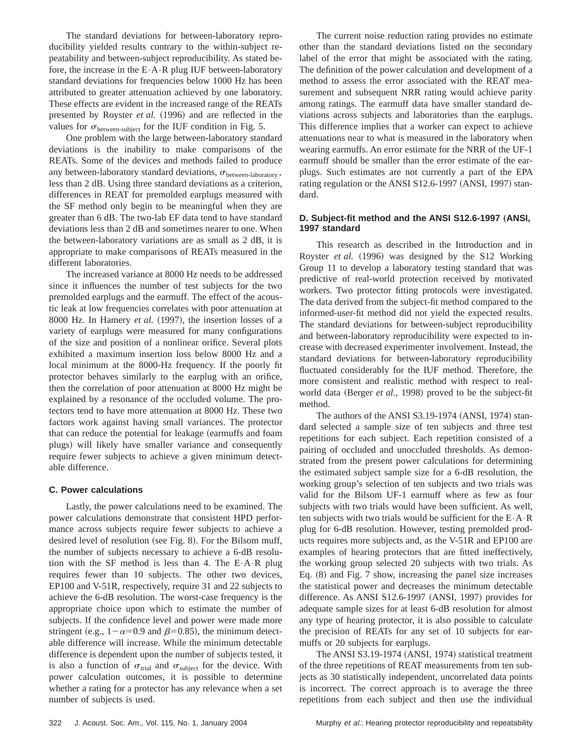The standard deviations for between-laboratory reproducibility yielded results contrary to the within-subject repeatability and between-subject reproducibility. As stated before, the increase in the  $E \cdot A \cdot R$  plug IUF between-laboratory standard deviations for frequencies below 1000 Hz has been attributed to greater attenuation achieved by one laboratory. These effects are evident in the increased range of the REATs presented by Royster *et al.* (1996) and are reflected in the values for  $\sigma_{\text{between-subject}}$  for the IUF condition in Fig. 5.

One problem with the large between-laboratory standard deviations is the inability to make comparisons of the REATs. Some of the devices and methods failed to produce any between-laboratory standard deviations,  $\sigma$ <sub>between-laboratory</sub>, less than 2 dB. Using three standard deviations as a criterion, differences in REAT for premolded earplugs measured with the SF method only begin to be meaningful when they are greater than 6 dB. The two-lab EF data tend to have standard deviations less than 2 dB and sometimes nearer to one. When the between-laboratory variations are as small as 2 dB, it is appropriate to make comparisons of REATs measured in the different laboratories.

The increased variance at 8000 Hz needs to be addressed since it influences the number of test subjects for the two premolded earplugs and the earmuff. The effect of the acoustic leak at low frequencies correlates with poor attenuation at 8000 Hz. In Hamery *et al.* (1997), the insertion losses of a variety of earplugs were measured for many configurations of the size and position of a nonlinear orifice. Several plots exhibited a maximum insertion loss below 8000 Hz and a local minimum at the 8000-Hz frequency. If the poorly fit protector behaves similarly to the earplug with an orifice, then the correlation of poor attenuation at 8000 Hz might be explained by a resonance of the occluded volume. The protectors tend to have more attenuation at 8000 Hz. These two factors work against having small variances. The protector that can reduce the potential for leakage (earmuffs and foam plugs) will likely have smaller variance and consequently require fewer subjects to achieve a given minimum detectable difference.

#### **C. Power calculations**

Lastly, the power calculations need to be examined. The power calculations demonstrate that consistent HPD performance across subjects require fewer subjects to achieve a desired level of resolution (see Fig. 8). For the Bilsom muff, the number of subjects necessary to achieve a 6-dB resolution with the SF method is less than 4. The  $E \cdot A \cdot R$  plug requires fewer than 10 subjects. The other two devices, EP100 and V-51R, respectively, require 31 and 22 subjects to achieve the 6-dB resolution. The worst-case frequency is the appropriate choice upon which to estimate the number of subjects. If the confidence level and power were made more stringent (e.g.,  $1-\alpha=0.9$  and  $\beta=0.85$ ), the minimum detectable difference will increase. While the minimum detectable difference is dependent upon the number of subjects tested, it is also a function of  $\sigma_{\text{trial}}$  and  $\sigma_{\text{subject}}$  for the device. With power calculation outcomes, it is possible to determine whether a rating for a protector has any relevance when a set number of subjects is used.

The current noise reduction rating provides no estimate other than the standard deviations listed on the secondary label of the error that might be associated with the rating. The definition of the power calculation and development of a method to assess the error associated with the REAT measurement and subsequent NRR rating would achieve parity among ratings. The earmuff data have smaller standard deviations across subjects and laboratories than the earplugs. This difference implies that a worker can expect to achieve attenuations near to what is measured in the laboratory when wearing earmuffs. An error estimate for the NRR of the UF-1 earmuff should be smaller than the error estimate of the earplugs. Such estimates are not currently a part of the EPA rating regulation or the ANSI  $S12.6-1997$  (ANSI, 1997) standard.

## **D. Subject-fit method and the ANSI S12.6-1997 (ANSI, 1997 standard**

This research as described in the Introduction and in Royster *et al.* (1996) was designed by the S12 Working Group 11 to develop a laboratory testing standard that was predictive of real-world protection received by motivated workers. Two protector fitting protocols were investigated. The data derived from the subject-fit method compared to the informed-user-fit method did not yield the expected results. The standard deviations for between-subject reproducibility and between-laboratory reproducibility were expected to increase with decreased experimenter involvement. Instead, the standard deviations for between-laboratory reproducibility fluctuated considerably for the IUF method. Therefore, the more consistent and realistic method with respect to realworld data (Berger *et al.*, 1998) proved to be the subject-fit method.

The authors of the ANSI  $S3.19-1974$  (ANSI, 1974) standard selected a sample size of ten subjects and three test repetitions for each subject. Each repetition consisted of a pairing of occluded and unoccluded thresholds. As demonstrated from the present power calculations for determining the estimated subject sample size for a 6-dB resolution, the working group's selection of ten subjects and two trials was valid for the Bilsom UF-1 earmuff where as few as four subjects with two trials would have been sufficient. As well, ten subjects with two trials would be sufficient for the  $E \cdot A \cdot R$ plug for 6-dB resolution. However, testing premolded products requires more subjects and, as the V-51R and EP100 are examples of hearing protectors that are fitted ineffectively, the working group selected 20 subjects with two trials. As Eq.  $(8)$  and Fig. 7 show, increasing the panel size increases the statistical power and decreases the minimum detectable difference. As ANSI S12.6-1997 (ANSI, 1997) provides for adequate sample sizes for at least 6-dB resolution for almost any type of hearing protector, it is also possible to calculate the precision of REATs for any set of 10 subjects for earmuffs or 20 subjects for earplugs.

The ANSI S3.19-1974 (ANSI, 1974) statistical treatment of the three repetitions of REAT measurements from ten subjects as 30 statistically independent, uncorrelated data points is incorrect. The correct approach is to average the three repetitions from each subject and then use the individual